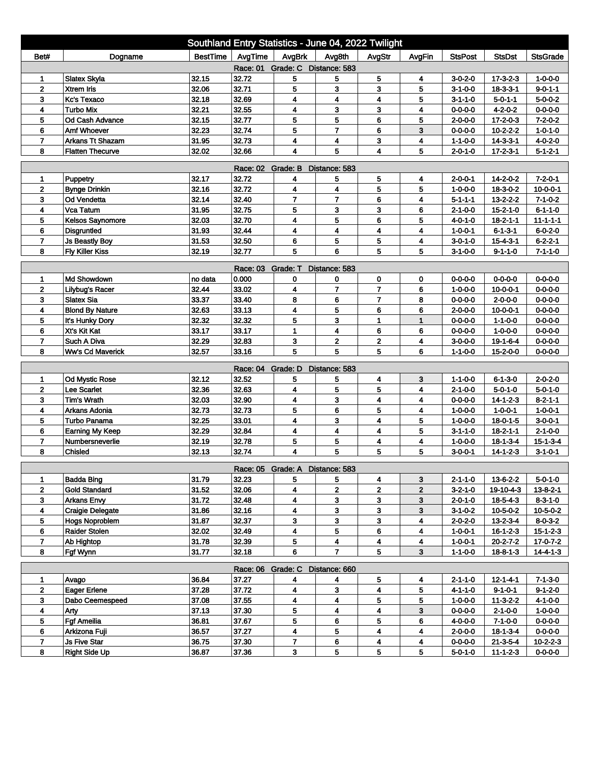| Southland Entry Statistics - June 04, 2022 Twilight                                                                                                |                                   |                 |                   |                                 |                         |                         |                |                                    |                                     |                                    |  |
|----------------------------------------------------------------------------------------------------------------------------------------------------|-----------------------------------|-----------------|-------------------|---------------------------------|-------------------------|-------------------------|----------------|------------------------------------|-------------------------------------|------------------------------------|--|
| Bet#                                                                                                                                               | Dogname                           | <b>BestTime</b> | AvgTime           | AvgBrk                          | Avg8th                  | AvgStr                  | AvgFin         | <b>StsPost</b>                     | <b>StsDst</b>                       | <b>StsGrade</b>                    |  |
| Race: 01 Grade: C Distance: 583                                                                                                                    |                                   |                 |                   |                                 |                         |                         |                |                                    |                                     |                                    |  |
| 1                                                                                                                                                  | <b>Slatex Skyla</b>               | 32.15           | 32.72             | 5                               | 5                       | 5                       | 4              | $3 - 0 - 2 - 0$                    | $17 - 3 - 2 - 3$                    | $1 - 0 - 0 - 0$                    |  |
| $\overline{2}$                                                                                                                                     | <b>Xtrem Iris</b>                 | 32.06           | 32.71             | 5                               | 3                       | 3                       | 5              | $3 - 1 - 0 - 0$                    | $18 - 3 - 3 - 1$                    | $9 - 0 - 1 - 1$                    |  |
| 3                                                                                                                                                  | Kc's Texaco                       | 32.18           | 32.69             | 4                               | 4                       | 4                       | 5              | $3 - 1 - 1 - 0$                    | $5 - 0 - 1 - 1$                     | $5 - 0 - 0 - 2$                    |  |
| 4                                                                                                                                                  | <b>Turbo Mix</b>                  | 32.21           | 32.55             | 4                               | 3                       | 3                       | 4              | $0 - 0 - 0 - 0$                    | $4 - 2 - 0 - 2$                     | $0 - 0 - 0 - 0$                    |  |
| 5                                                                                                                                                  | Od Cash Advance                   | 32.15           | 32.77             | 5                               | 5                       | 6                       | 5              | 2-0-0-0                            | $17 - 2 - 0 - 3$                    | $7 - 2 - 0 - 2$                    |  |
| 6                                                                                                                                                  | <b>Amf Whoever</b>                | 32.23           | 32.74             | 5                               | $\overline{\mathbf{r}}$ | 6                       | 3              | $0 - 0 - 0 - 0$                    | $10 - 2 - 2 - 2$                    | $1 - 0 - 1 - 0$                    |  |
| $\overline{\mathbf{r}}$                                                                                                                            | <b>Arkans Tt Shazam</b>           | 31.95           | 32.73             | 4                               | 4                       | 3                       | 4              | $1 - 1 - 0 - 0$                    | $14 - 3 - 3 - 1$                    | $4 - 0 - 2 - 0$                    |  |
| 5<br>8<br>32.02<br>32.66<br>4<br>$\overline{\mathbf{4}}$<br>5<br><b>Flatten Thecurve</b><br>$2 - 0 - 1 - 0$<br>$17 - 2 - 3 - 1$<br>$5 - 1 - 2 - 1$ |                                   |                 |                   |                                 |                         |                         |                |                                    |                                     |                                    |  |
| Race: 02 Grade: B<br>Distance: 583                                                                                                                 |                                   |                 |                   |                                 |                         |                         |                |                                    |                                     |                                    |  |
| 1                                                                                                                                                  | Puppetry                          | 32.17           | 32.72             | 4                               | 5                       | 5                       | 4              | 2-0-0-1                            | $14 - 2 - 0 - 2$                    | $7 - 2 - 0 - 1$                    |  |
| $\mathbf{2}$                                                                                                                                       | <b>Bynge Drinkin</b>              | 32.16           | 32.72             | 4                               | 4                       | 5                       | 5              | $1 - 0 - 0 - 0$                    | $18-3-0-2$                          | $10 - 0 - 0 - 1$                   |  |
| 3                                                                                                                                                  | Od Vendetta                       | 32.14           | 32.40             | $\overline{7}$                  | $\overline{7}$          | 6                       | 4              | $5 - 1 - 1 - 1$                    | $13 - 2 - 2 - 2$                    | $7 - 1 - 0 - 2$                    |  |
| 4                                                                                                                                                  | Vca Tatum                         | 31.95           | 32.75             | 5                               | 3                       | 3                       | 6              | $2 - 1 - 0 - 0$                    | $15 - 2 - 1 - 0$                    | $6 - 1 - 1 - 0$                    |  |
| 5                                                                                                                                                  | <b>Kelsos Saynomore</b>           | 32.03           | 32.70             | 4                               | 5                       | 6                       | 5              | 4-0-1-0                            | $18 - 2 - 1 - 1$                    | $11 - 1 - 1 - 1$                   |  |
| 6                                                                                                                                                  | <b>Disgruntled</b>                | 31.93           | 32.44             | 4                               | 4                       | 4                       | 4              | $1 - 0 - 0 - 1$                    | $6 - 1 - 3 - 1$                     | $6 - 0 - 2 - 0$                    |  |
| $\overline{7}$                                                                                                                                     | <b>Js Beastly Boy</b>             | 31.53           | 32.50             | 6                               | 5                       | 5                       | 4              | 3-0-1-0                            | $15 - 4 - 3 - 1$                    | $6 - 2 - 2 - 1$                    |  |
| 8                                                                                                                                                  | <b>Fly Killer Kiss</b>            | 32.19           | 32.77             | 5                               | 6                       | 5                       | 5              | $3 - 1 - 0 - 0$                    | $9 - 1 - 1 - 0$                     | $7 - 1 - 1 - 0$                    |  |
|                                                                                                                                                    |                                   |                 | Race: 03          | Grade: T                        | Distance: 583           |                         |                |                                    |                                     |                                    |  |
| 1                                                                                                                                                  | Md Showdown                       | no data         | 0.000             | 0                               | 0                       | 0                       | $\mathbf 0$    | $0 - 0 - 0 - 0$                    | $0 - 0 - 0 - 0$                     | $0 - 0 - 0 - 0$                    |  |
| 2                                                                                                                                                  | <b>Lilybug's Racer</b>            | 32.44           | 33.02             | 4                               | 7                       | $\overline{7}$          | 6              | $1 - 0 - 0 - 0$                    | $10 - 0 - 0 - 1$                    | $0 - 0 - 0 - 0$                    |  |
| 3                                                                                                                                                  | <b>Slatex Sia</b>                 | 33.37           | 33.40             | 8                               | 6                       | $\overline{7}$          | 8              | 0-0-0-0                            | $2 - 0 - 0 - 0$                     | $0 - 0 - 0 - 0$                    |  |
| 4                                                                                                                                                  | <b>Blond By Nature</b>            | 32.63           | 33.13             | 4                               | 5                       | 6                       | 6              | $2 - 0 - 0 - 0$                    | $10 - 0 - 0 - 1$                    | $0 - 0 - 0 - 0$                    |  |
| 5                                                                                                                                                  | It's Hunky Dory                   | 32.32           | 32.32             | 5                               | 3                       | 1                       | 1              | $0 - 0 - 0 - 0$                    | $1 - 1 - 0 - 0$                     | $0 - 0 - 0 - 0$                    |  |
| 6                                                                                                                                                  | Xt's Kit Kat                      | 33.17           | 33.17             | 1                               | 4                       | 6                       | 6              | $0 - 0 - 0 - 0$                    | $1 - 0 - 0 - 0$                     | $0 - 0 - 0 - 0$                    |  |
| $\overline{7}$                                                                                                                                     | Such A Diva                       | 32.29           | 32.83             | 3                               | 2                       | 2                       | 4              | $3 - 0 - 0 - 0$                    | 19-1-6-4                            | $0 - 0 - 0 - 0$                    |  |
| 8                                                                                                                                                  | <b>Ww's Cd Maverick</b>           | 32.57           | 33.16             | 5                               | 5                       | 5                       | 6              | 1-1-0-0                            | 15-2-0-0                            | $0 - 0 - 0 - 0$                    |  |
|                                                                                                                                                    |                                   |                 |                   |                                 |                         |                         |                |                                    |                                     |                                    |  |
|                                                                                                                                                    |                                   |                 | Race: 04 Grade: D |                                 | Distance: 583           |                         |                |                                    |                                     |                                    |  |
| 1<br>$\overline{2}$                                                                                                                                | <b>Od Mystic Rose</b>             | 32.12<br>32.36  | 32.52<br>32.63    | 5<br>4                          | 5<br>5                  | 4<br>5                  | 3<br>4         | $1 - 1 - 0 - 0$                    | $6 - 1 - 3 - 0$                     | $2 - 0 - 2 - 0$<br>$5 - 0 - 1 - 0$ |  |
| 3                                                                                                                                                  | Lee Scarlet<br><b>Tim's Wrath</b> | 32.03           | 32.90             | 4                               | 3                       | 4                       | 4              | $2 - 1 - 0 - 0$<br>$0 - 0 - 0 - 0$ | $5 - 0 - 1 - 0$<br>$14 - 1 - 2 - 3$ | $8 - 2 - 1 - 1$                    |  |
| 4                                                                                                                                                  | Arkans Adonia                     | 32.73           | 32.73             | 5                               | 6                       | 5                       | 4              | $1 - 0 - 0 - 0$                    | $1 - 0 - 0 - 1$                     | $1 - 0 - 0 - 1$                    |  |
| 5                                                                                                                                                  | Turbo Panama                      | 32.25           | 33.01             | 4                               | 3                       | $\overline{\mathbf{4}}$ | 5              | $1 - 0 - 0 - 0$                    | $18 - 0 - 1 - 5$                    | $3-0-0-1$                          |  |
| 6                                                                                                                                                  | <b>Earning My Keep</b>            | 32.29           | 32.84             | 4                               | 4                       | 4                       | 5              | 3-1-1-0                            | $18 - 2 - 1 - 1$                    | $2 - 1 - 0 - 0$                    |  |
| $\overline{7}$                                                                                                                                     | Numbersneverlie                   | 32.19           | 32.78             | 5                               | 5                       | 4                       | 4              | $1 - 0 - 0 - 0$                    | $18 - 1 - 3 - 4$                    | $15 - 1 - 3 - 4$                   |  |
| 8                                                                                                                                                  | Chisled                           | 32.13           | 32.74             | 4                               | 5                       | 5                       | 5              | 3-0-0-1                            | $14 - 1 - 2 - 3$                    | $3 - 1 - 0 - 1$                    |  |
|                                                                                                                                                    |                                   |                 |                   |                                 |                         |                         |                |                                    |                                     |                                    |  |
|                                                                                                                                                    |                                   |                 |                   | Race: 05 Grade: A Distance: 583 |                         |                         |                |                                    |                                     |                                    |  |
| 1                                                                                                                                                  | <b>Badda Bing</b>                 | 31.79           | 32.23             | 5                               | 5                       | 4                       | 3              | $2 - 1 - 1 - 0$                    | $13-6-2-2$                          | $5 - 0 - 1 - 0$                    |  |
| $\mathbf{2}$                                                                                                                                       | <b>Gold Standard</b>              | 31.52           | 32.06             | 4                               | $\overline{\mathbf{2}}$ | $\overline{2}$          | $\overline{2}$ | $3 - 2 - 1 - 0$                    | 19-10-4-3                           | $13 - 8 - 2 - 1$                   |  |
| 3                                                                                                                                                  | <b>Arkans Envy</b>                | 31.72           | 32.48             | 4                               | 3                       | 3                       | $\mathbf{3}$   | 2-0-1-0                            | $18 - 5 - 4 - 3$                    | $8 - 3 - 1 - 0$                    |  |
| 4                                                                                                                                                  | <b>Craigie Delegate</b>           | 31.86           | 32.16             | 4                               | 3                       | 3                       | 3              | $3-1-0-2$                          | $10 - 5 - 0 - 2$                    | $10 - 5 - 0 - 2$                   |  |
| 5                                                                                                                                                  | <b>Hogs Noproblem</b>             | 31.87           | 32.37             | 3                               | 3                       | 3                       | 4              | $2 - 0 - 2 - 0$                    | $13 - 2 - 3 - 4$                    | $8 - 0 - 3 - 2$                    |  |
| 6                                                                                                                                                  | <b>Raider Stolen</b>              | 32.02           | 32.49             | 4                               | 5                       | 6                       | 4              | $1 - 0 - 0 - 1$                    | $16 - 1 - 2 - 3$                    | $15 - 1 - 2 - 3$                   |  |
| $\overline{7}$                                                                                                                                     | Ab Hightop                        | 31.78           | 32.39             | 5                               | 4                       | 4                       | 4              | $1 - 0 - 0 - 1$                    | $20 - 2 - 7 - 2$                    | $17 - 0 - 7 - 2$                   |  |
| 8                                                                                                                                                  | Fgf Wynn                          | 31.77           | 32.18             | 6                               | $\overline{7}$          | 5                       | 3              | $1 - 1 - 0 - 0$                    | $18 - 8 - 1 - 3$                    | $14 - 4 - 1 - 3$                   |  |
| Race: 06 Grade: C Distance: 660                                                                                                                    |                                   |                 |                   |                                 |                         |                         |                |                                    |                                     |                                    |  |
| 1                                                                                                                                                  | Avago                             | 36.84           | 37.27             | 4                               | 4                       | 5                       | 4              | $2 - 1 - 1 - 0$                    | $12 - 1 - 4 - 1$                    | $7 - 1 - 3 - 0$                    |  |
| $\mathbf{2}$                                                                                                                                       | <b>Eager Erlene</b>               | 37.28           | 37.72             | 4                               | 3                       | 4                       | 5              | 4-1-1-0                            | 9-1-0-1                             | $9 - 1 - 2 - 0$                    |  |
| 3                                                                                                                                                  | Dabo Ceemespeed                   | 37.08           | 37.55             | 4                               | 4                       | 5                       | 5              | $1 - 0 - 0 - 0$                    | $11 - 3 - 2 - 2$                    | 4-1-0-0                            |  |
| $\overline{\mathbf{4}}$                                                                                                                            | Arty                              | 37.13           | 37.30             | 5                               | 4                       | $\overline{4}$          | 3              | $0 - 0 - 0 - 0$                    | $2 - 1 - 0 - 0$                     | $1 - 0 - 0 - 0$                    |  |
| 5                                                                                                                                                  | <b>Fgf Ameilia</b>                | 36.81           | 37.67             | 5                               | 6                       | 5                       | 6              | $4 - 0 - 0 - 0$                    | $7 - 1 - 0 - 0$                     | $0 - 0 - 0 - 0$                    |  |
| 6                                                                                                                                                  | Arkizona Fuji                     | 36.57           | 37.27             | 4                               | 5                       | 4                       | 4              | $2 - 0 - 0 - 0$                    | $18 - 1 - 3 - 4$                    | $0 - 0 - 0 - 0$                    |  |
| $\overline{7}$                                                                                                                                     | <b>Js Five Star</b>               | 36.75           | 37.30             | 7                               | 6                       | 4                       | 4              | $0 - 0 - 0 - 0$                    | $21 - 3 - 5 - 4$                    | $10 - 2 - 2 - 3$                   |  |
| 8                                                                                                                                                  | <b>Right Side Up</b>              | 36.87           | 37.36             | 3                               | 5                       | 5                       | 5              | $5 - 0 - 1 - 0$                    | $11 - 1 - 2 - 3$                    | $0 - 0 - 0 - 0$                    |  |